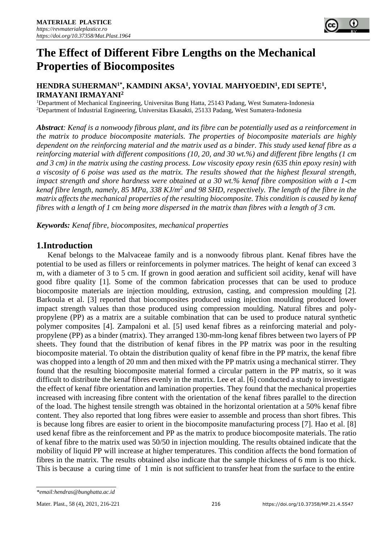

#### **HENDRA SUHERMAN1\*, KAMDINI AKSA<sup>1</sup> , YOVIAL MAHYOEDIN<sup>1</sup> , EDI SEPTE<sup>1</sup> , IRMAYANI IRMAYANI<sup>2</sup>**

<sup>1</sup>Department of Mechanical Engineering, Universitas Bung Hatta, 25143 Padang, West Sumatera-Indonesia <sup>2</sup>Department of Industrial Engineering, Universitas Ekasakti, 25133 Padang, West Sumatera-Indonesia

*Abstract: Kenaf is a nonwoody fibrous plant, and its fibre can be potentially used as a reinforcement in the matrix to produce biocomposite materials. The properties of biocomposite materials are highly dependent on the reinforcing material and the matrix used as a binder. This study used kenaf fibre as a reinforcing material with different compositions (10, 20, and 30 wt.%) and different fibre lengths (1 cm and 3 cm) in the matrix using the casting process. Low viscosity epoxy resin (635 thin epoxy resin) with a viscosity of 6 poise was used as the matrix. The results showed that the highest flexural strength, impact strength and shore hardness were obtained at a 30 wt.% kenaf fibre composition with a 1-cm kenaf fibre length, namely, 85 MPa, 338 KJ/m<sup>2</sup> and 98 SHD, respectively. The length of the fibre in the matrix affects the mechanical properties of the resulting biocomposite. This condition is caused by kenaf fibres with a length of 1 cm being more dispersed in the matrix than fibres with a length of 3 cm.*

*Keywords: Kenaf fibre, biocomposites, mechanical properties*

## **1.Introduction**

Kenaf belongs to the Malvaceae family and is a nonwoody fibrous plant. Kenaf fibres have the potential to be used as fillers or reinforcements in polymer matrices. The height of kenaf can exceed 3 m, with a diameter of 3 to 5 cm. If grown in good aeration and sufficient soil acidity, kenaf will have good fibre quality [1]. Some of the common fabrication processes that can be used to produce biocomposite materials are injection moulding, extrusion, casting, and compression moulding [2]. Barkoula et al. [3] reported that biocomposites produced using injection moulding produced lower impact strength values than those produced using compression moulding. Natural fibres and polypropylene (PP) as a matrix are a suitable combination that can be used to produce natural synthetic polymer composites [4]. Zampaloni et al. [5] used kenaf fibres as a reinforcing material and polypropylene (PP) as a binder (matrix). They arranged 130-mm-long kenaf fibres between two layers of PP sheets. They found that the distribution of kenaf fibres in the PP matrix was poor in the resulting biocomposite material. To obtain the distribution quality of kenaf fibre in the PP matrix, the kenaf fibre was chopped into a length of 20 mm and then mixed with the PP matrix using a mechanical stirrer. They found that the resulting biocomposite material formed a circular pattern in the PP matrix, so it was difficult to distribute the kenaf fibres evenly in the matrix. Lee et al. [6] conducted a study to investigate the effect of kenaf fibre orientation and lamination properties. They found that the mechanical properties increased with increasing fibre content with the orientation of the kenaf fibres parallel to the direction of the load. The highest tensile strength was obtained in the horizontal orientation at a 50% kenaf fibre content. They also reported that long fibres were easier to assemble and process than short fibres. This is because long fibres are easier to orient in the biocomposite manufacturing process [7]. Hao et al. [8] used kenaf fibre as the reinforcement and PP as the matrix to produce biocomposite materials. The ratio of kenaf fibre to the matrix used was 50/50 in injection moulding. The results obtained indicate that the mobility of liquid PP will increase at higher temperatures. This condition affects the bond formation of fibres in the matrix. The results obtained also indicate that the sample thickness of 6 mm is too thick. This is because a curing time of 1 min is not sufficient to transfer heat from the surface to the entire

*<sup>\*</sup>email:hendras@bunghatta.ac.id*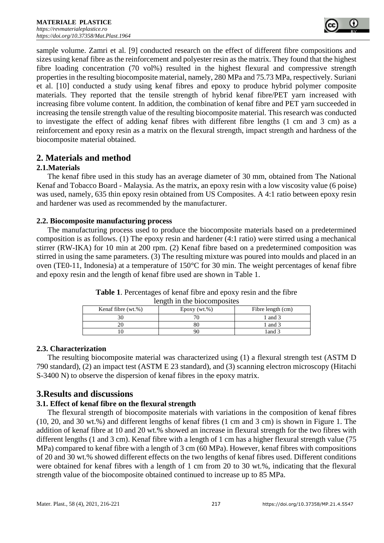sample volume. Zamri et al. [9] conducted research on the effect of different fibre compositions and sizes using kenaf fibre as the reinforcement and polyester resin as the matrix. They found that the highest fibre loading concentration (70 vol%) resulted in the highest flexural and compressive strength properties in the resulting biocomposite material, namely, 280 MPa and 75.73 MPa, respectively. Suriani et al. [10] conducted a study using kenaf fibres and epoxy to produce hybrid polymer composite materials. They reported that the tensile strength of hybrid kenaf fibre/PET yarn increased with increasing fibre volume content. In addition, the combination of kenaf fibre and PET yarn succeeded in increasing the tensile strength value of the resulting biocomposite material. This research was conducted to investigate the effect of adding kenaf fibres with different fibre lengths (1 cm and 3 cm) as a reinforcement and epoxy resin as a matrix on the flexural strength, impact strength and hardness of the biocomposite material obtained.

# **2. Materials and method**

## **2.1.Materials**

The kenaf fibre used in this study has an average diameter of 30 mm, obtained from The National Kenaf and Tobacco Board - Malaysia. As the matrix, an epoxy resin with a low viscosity value (6 poise) was used, namely, 635 thin epoxy resin obtained from US Composites. A 4:1 ratio between epoxy resin and hardener was used as recommended by the manufacturer.

## **2.2. Biocomposite manufacturing process**

The manufacturing process used to produce the biocomposite materials based on a predetermined composition is as follows. (1) The epoxy resin and hardener (4:1 ratio) were stirred using a mechanical stirrer (RW-IKA) for 10 min at 200 rpm. (2) Kenaf fibre based on a predetermined composition was stirred in using the same parameters. (3) The resulting mixture was poured into moulds and placed in an oven (TE0-11, Indonesia) at a temperature of 150°C for 30 min. The weight percentages of kenaf fibre and epoxy resin and the length of kenaf fibre used are shown in Table 1.

| Kenaf fibre (wt.%) | $E$ poxy (wt.%) | Fibre length (cm) |
|--------------------|-----------------|-------------------|
|                    |                 | 1 and 3           |
|                    |                 | 1 and 3           |
|                    |                 | 1 and 3           |

**Table 1**. Percentages of kenaf fibre and epoxy resin and the fibre length in the biocomposites

## **2.3. Characterization**

The resulting biocomposite material was characterized using (1) a flexural strength test (ASTM D 790 standard), (2) an impact test (ASTM E 23 standard), and (3) scanning electron microscopy (Hitachi S-3400 N) to observe the dispersion of kenaf fibres in the epoxy matrix.

## **3.Results and discussions**

## **3.1. Effect of kenaf fibre on the flexural strength**

The flexural strength of biocomposite materials with variations in the composition of kenaf fibres (10, 20, and 30 wt.%) and different lengths of kenaf fibres (1 cm and 3 cm) is shown in Figure 1. The addition of kenaf fibre at 10 and 20 wt.% showed an increase in flexural strength for the two fibres with different lengths (1 and 3 cm). Kenaf fibre with a length of 1 cm has a higher flexural strength value (75 MPa) compared to kenaf fibre with a length of 3 cm (60 MPa). However, kenaf fibres with compositions of 20 and 30 wt.% showed different effects on the two lengths of kenaf fibres used. Different conditions were obtained for kenaf fibres with a length of 1 cm from 20 to 30 wt.%, indicating that the flexural strength value of the biocomposite obtained continued to increase up to 85 MPa.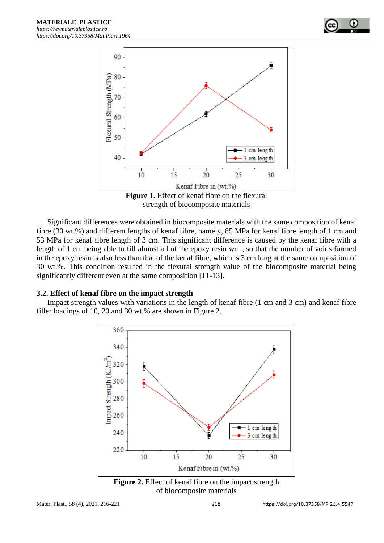

**Figure 1.** Effect of kenaf fibre on the flexural strength of biocomposite materials

Significant differences were obtained in biocomposite materials with the same composition of kenaf fibre (30 wt.%) and different lengths of kenaf fibre, namely, 85 MPa for kenaf fibre length of 1 cm and 53 MPa for kenaf fibre length of 3 cm. This significant difference is caused by the kenaf fibre with a length of 1 cm being able to fill almost all of the epoxy resin well, so that the number of voids formed in the epoxy resin is also less than that of the kenaf fibre, which is 3 cm long at the same composition of 30 wt.%. This condition resulted in the flexural strength value of the biocomposite material being significantly different even at the same composition [11-13].

#### **3.2. Effect of kenaf fibre on the impact strength**

Impact strength values with variations in the length of kenaf fibre (1 cm and 3 cm) and kenaf fibre filler loadings of 10, 20 and 30 wt.% are shown in Figure 2.



**Figure 2.** Effect of kenaf fibre on the impact strength of biocomposite materials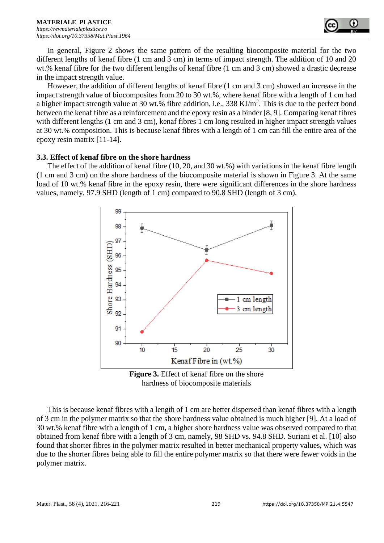

In general, Figure 2 shows the same pattern of the resulting biocomposite material for the two different lengths of kenaf fibre (1 cm and 3 cm) in terms of impact strength. The addition of 10 and 20 wt.% kenaf fibre for the two different lengths of kenaf fibre (1 cm and 3 cm) showed a drastic decrease in the impact strength value.

However, the addition of different lengths of kenaf fibre (1 cm and 3 cm) showed an increase in the impact strength value of biocomposites from 20 to 30 wt.%, where kenaf fibre with a length of 1 cm had a higher impact strength value at 30 wt.% fibre addition, i.e.,  $338 \text{ KJ/m}^2$ . This is due to the perfect bond between the kenaf fibre as a reinforcement and the epoxy resin as a binder [8, 9]. Comparing kenaf fibres with different lengths (1 cm and 3 cm), kenaf fibres 1 cm long resulted in higher impact strength values at 30 wt.% composition. This is because kenaf fibres with a length of 1 cm can fill the entire area of the epoxy resin matrix [11-14].

#### **3.3. Effect of kenaf fibre on the shore hardness**

The effect of the addition of kenaf fibre (10, 20, and 30 wt.%) with variations in the kenaf fibre length (1 cm and 3 cm) on the shore hardness of the biocomposite material is shown in Figure 3. At the same load of 10 wt.% kenaf fibre in the epoxy resin, there were significant differences in the shore hardness values, namely, 97.9 SHD (length of 1 cm) compared to 90.8 SHD (length of 3 cm).



**Figure 3.** Effect of kenaf fibre on the shore hardness of biocomposite materials

This is because kenaf fibres with a length of 1 cm are better dispersed than kenaf fibres with a length of 3 cm in the polymer matrix so that the shore hardness value obtained is much higher [9]. At a load of 30 wt.% kenaf fibre with a length of 1 cm, a higher shore hardness value was observed compared to that obtained from kenaf fibre with a length of 3 cm, namely, 98 SHD vs. 94.8 SHD. Suriani et al. [10] also found that shorter fibres in the polymer matrix resulted in better mechanical property values, which was due to the shorter fibres being able to fill the entire polymer matrix so that there were fewer voids in the polymer matrix.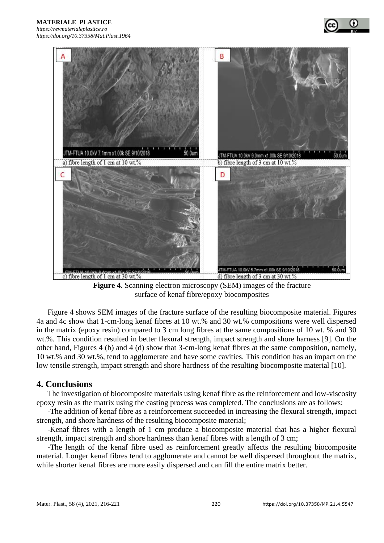**MATERIALE PLASTICE** 



**Figure 4**. Scanning electron microscopy (SEM) images of the fracture surface of kenaf fibre/epoxy biocomposites

Figure 4 shows SEM images of the fracture surface of the resulting biocomposite material. Figures 4a and 4c show that 1-cm-long kenaf fibres at 10 wt.% and 30 wt.% compositions were well dispersed in the matrix (epoxy resin) compared to 3 cm long fibres at the same compositions of 10 wt. % and 30 wt.%. This condition resulted in better flexural strength, impact strength and shore harness [9]. On the other hand, Figures 4 (b) and 4 (d) show that 3-cm-long kenaf fibres at the same composition, namely, 10 wt.% and 30 wt.%, tend to agglomerate and have some cavities. This condition has an impact on the low tensile strength, impact strength and shore hardness of the resulting biocomposite material [10].

## **4. Conclusions**

The investigation of biocomposite materials using kenaf fibre as the reinforcement and low-viscosity epoxy resin as the matrix using the casting process was completed. The conclusions are as follows:

-The addition of kenaf fibre as a reinforcement succeeded in increasing the flexural strength, impact strength, and shore hardness of the resulting biocomposite material;

-Kenaf fibres with a length of 1 cm produce a biocomposite material that has a higher flexural strength, impact strength and shore hardness than kenaf fibres with a length of 3 cm;

-The length of the kenaf fibre used as reinforcement greatly affects the resulting biocomposite material. Longer kenaf fibres tend to agglomerate and cannot be well dispersed throughout the matrix, while shorter kenaf fibres are more easily dispersed and can fill the entire matrix better.